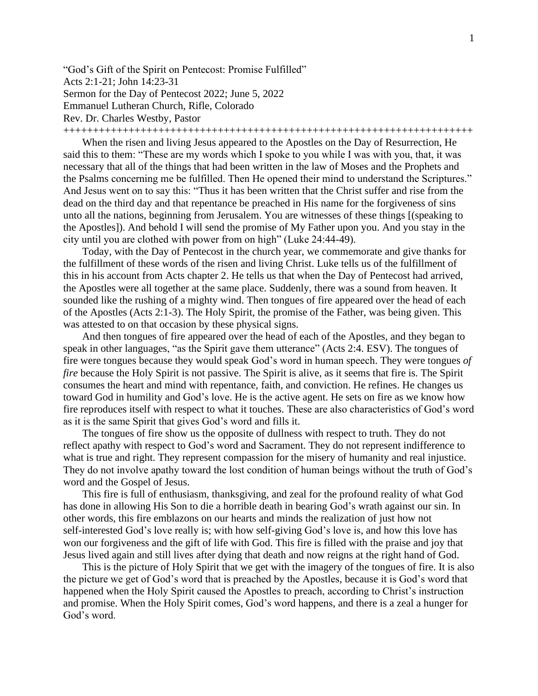"God's Gift of the Spirit on Pentecost: Promise Fulfilled" Acts 2:1-21; John 14:23-31 Sermon for the Day of Pentecost 2022; June 5, 2022 Emmanuel Lutheran Church, Rifle, Colorado Rev. Dr. Charles Westby, Pastor +++++++++++++++++++++++++++++++++++++++++++++++++++++++++++++++++++++

When the risen and living Jesus appeared to the Apostles on the Day of Resurrection, He said this to them: "These are my words which I spoke to you while I was with you, that, it was necessary that all of the things that had been written in the law of Moses and the Prophets and the Psalms concerning me be fulfilled. Then He opened their mind to understand the Scriptures." And Jesus went on to say this: "Thus it has been written that the Christ suffer and rise from the dead on the third day and that repentance be preached in His name for the forgiveness of sins unto all the nations, beginning from Jerusalem. You are witnesses of these things [(speaking to the Apostles]). And behold I will send the promise of My Father upon you. And you stay in the city until you are clothed with power from on high" (Luke 24:44-49).

Today, with the Day of Pentecost in the church year, we commemorate and give thanks for the fulfillment of these words of the risen and living Christ. Luke tells us of the fulfillment of this in his account from Acts chapter 2. He tells us that when the Day of Pentecost had arrived, the Apostles were all together at the same place. Suddenly, there was a sound from heaven. It sounded like the rushing of a mighty wind. Then tongues of fire appeared over the head of each of the Apostles (Acts 2:1-3). The Holy Spirit, the promise of the Father, was being given. This was attested to on that occasion by these physical signs.

And then tongues of fire appeared over the head of each of the Apostles, and they began to speak in other languages, "as the Spirit gave them utterance" (Acts 2:4. ESV). The tongues of fire were tongues because they would speak God's word in human speech. They were tongues *of fire* because the Holy Spirit is not passive. The Spirit is alive, as it seems that fire is. The Spirit consumes the heart and mind with repentance, faith, and conviction. He refines. He changes us toward God in humility and God's love. He is the active agent. He sets on fire as we know how fire reproduces itself with respect to what it touches. These are also characteristics of God's word as it is the same Spirit that gives God's word and fills it.

The tongues of fire show us the opposite of dullness with respect to truth. They do not reflect apathy with respect to God's word and Sacrament. They do not represent indifference to what is true and right. They represent compassion for the misery of humanity and real injustice. They do not involve apathy toward the lost condition of human beings without the truth of God's word and the Gospel of Jesus.

This fire is full of enthusiasm, thanksgiving, and zeal for the profound reality of what God has done in allowing His Son to die a horrible death in bearing God's wrath against our sin. In other words, this fire emblazons on our hearts and minds the realization of just how not self-interested God's love really is; with how self-giving God's love is, and how this love has won our forgiveness and the gift of life with God. This fire is filled with the praise and joy that Jesus lived again and still lives after dying that death and now reigns at the right hand of God.

This is the picture of Holy Spirit that we get with the imagery of the tongues of fire. It is also the picture we get of God's word that is preached by the Apostles, because it is God's word that happened when the Holy Spirit caused the Apostles to preach, according to Christ's instruction and promise. When the Holy Spirit comes, God's word happens, and there is a zeal a hunger for God's word.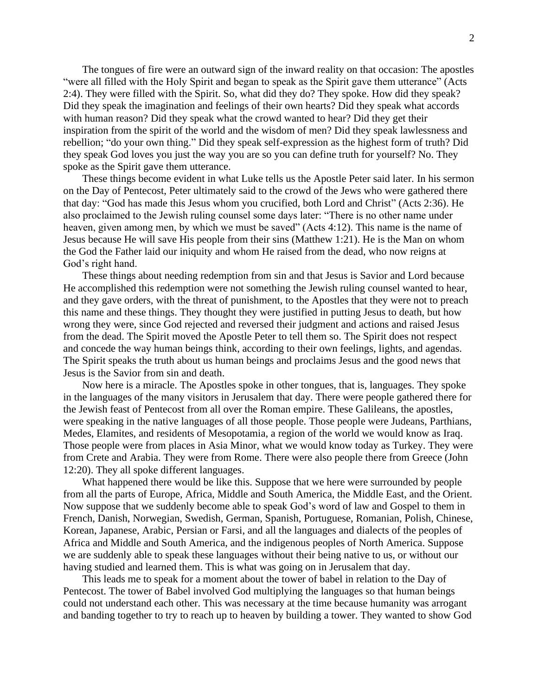The tongues of fire were an outward sign of the inward reality on that occasion: The apostles "were all filled with the Holy Spirit and began to speak as the Spirit gave them utterance" (Acts 2:4). They were filled with the Spirit. So, what did they do? They spoke. How did they speak? Did they speak the imagination and feelings of their own hearts? Did they speak what accords with human reason? Did they speak what the crowd wanted to hear? Did they get their inspiration from the spirit of the world and the wisdom of men? Did they speak lawlessness and rebellion; "do your own thing." Did they speak self-expression as the highest form of truth? Did they speak God loves you just the way you are so you can define truth for yourself? No. They spoke as the Spirit gave them utterance.

These things become evident in what Luke tells us the Apostle Peter said later. In his sermon on the Day of Pentecost, Peter ultimately said to the crowd of the Jews who were gathered there that day: "God has made this Jesus whom you crucified, both Lord and Christ" (Acts 2:36). He also proclaimed to the Jewish ruling counsel some days later: "There is no other name under heaven, given among men, by which we must be saved" (Acts 4:12). This name is the name of Jesus because He will save His people from their sins (Matthew 1:21). He is the Man on whom the God the Father laid our iniquity and whom He raised from the dead, who now reigns at God's right hand.

These things about needing redemption from sin and that Jesus is Savior and Lord because He accomplished this redemption were not something the Jewish ruling counsel wanted to hear, and they gave orders, with the threat of punishment, to the Apostles that they were not to preach this name and these things. They thought they were justified in putting Jesus to death, but how wrong they were, since God rejected and reversed their judgment and actions and raised Jesus from the dead. The Spirit moved the Apostle Peter to tell them so. The Spirit does not respect and concede the way human beings think, according to their own feelings, lights, and agendas. The Spirit speaks the truth about us human beings and proclaims Jesus and the good news that Jesus is the Savior from sin and death.

Now here is a miracle. The Apostles spoke in other tongues, that is, languages. They spoke in the languages of the many visitors in Jerusalem that day. There were people gathered there for the Jewish feast of Pentecost from all over the Roman empire. These Galileans, the apostles, were speaking in the native languages of all those people. Those people were Judeans, Parthians, Medes, Elamites, and residents of Mesopotamia, a region of the world we would know as Iraq. Those people were from places in Asia Minor, what we would know today as Turkey. They were from Crete and Arabia. They were from Rome. There were also people there from Greece (John 12:20). They all spoke different languages.

What happened there would be like this. Suppose that we here were surrounded by people from all the parts of Europe, Africa, Middle and South America, the Middle East, and the Orient. Now suppose that we suddenly become able to speak God's word of law and Gospel to them in French, Danish, Norwegian, Swedish, German, Spanish, Portuguese, Romanian, Polish, Chinese, Korean, Japanese, Arabic, Persian or Farsi, and all the languages and dialects of the peoples of Africa and Middle and South America, and the indigenous peoples of North America. Suppose we are suddenly able to speak these languages without their being native to us, or without our having studied and learned them. This is what was going on in Jerusalem that day.

This leads me to speak for a moment about the tower of babel in relation to the Day of Pentecost. The tower of Babel involved God multiplying the languages so that human beings could not understand each other. This was necessary at the time because humanity was arrogant and banding together to try to reach up to heaven by building a tower. They wanted to show God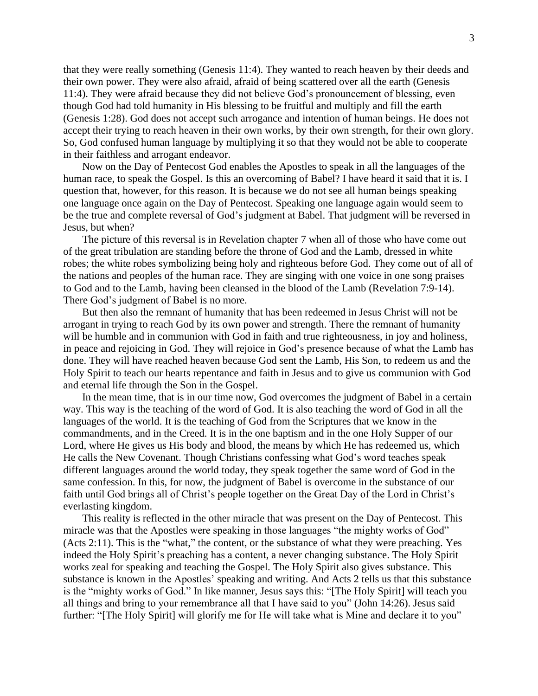that they were really something (Genesis 11:4). They wanted to reach heaven by their deeds and their own power. They were also afraid, afraid of being scattered over all the earth (Genesis 11:4). They were afraid because they did not believe God's pronouncement of blessing, even though God had told humanity in His blessing to be fruitful and multiply and fill the earth (Genesis 1:28). God does not accept such arrogance and intention of human beings. He does not accept their trying to reach heaven in their own works, by their own strength, for their own glory. So, God confused human language by multiplying it so that they would not be able to cooperate in their faithless and arrogant endeavor.

Now on the Day of Pentecost God enables the Apostles to speak in all the languages of the human race, to speak the Gospel. Is this an overcoming of Babel? I have heard it said that it is. I question that, however, for this reason. It is because we do not see all human beings speaking one language once again on the Day of Pentecost. Speaking one language again would seem to be the true and complete reversal of God's judgment at Babel. That judgment will be reversed in Jesus, but when?

The picture of this reversal is in Revelation chapter 7 when all of those who have come out of the great tribulation are standing before the throne of God and the Lamb, dressed in white robes; the white robes symbolizing being holy and righteous before God. They come out of all of the nations and peoples of the human race. They are singing with one voice in one song praises to God and to the Lamb, having been cleansed in the blood of the Lamb (Revelation 7:9-14). There God's judgment of Babel is no more.

But then also the remnant of humanity that has been redeemed in Jesus Christ will not be arrogant in trying to reach God by its own power and strength. There the remnant of humanity will be humble and in communion with God in faith and true righteousness, in joy and holiness, in peace and rejoicing in God. They will rejoice in God's presence because of what the Lamb has done. They will have reached heaven because God sent the Lamb, His Son, to redeem us and the Holy Spirit to teach our hearts repentance and faith in Jesus and to give us communion with God and eternal life through the Son in the Gospel.

In the mean time, that is in our time now, God overcomes the judgment of Babel in a certain way. This way is the teaching of the word of God. It is also teaching the word of God in all the languages of the world. It is the teaching of God from the Scriptures that we know in the commandments, and in the Creed. It is in the one baptism and in the one Holy Supper of our Lord, where He gives us His body and blood, the means by which He has redeemed us, which He calls the New Covenant. Though Christians confessing what God's word teaches speak different languages around the world today, they speak together the same word of God in the same confession. In this, for now, the judgment of Babel is overcome in the substance of our faith until God brings all of Christ's people together on the Great Day of the Lord in Christ's everlasting kingdom.

This reality is reflected in the other miracle that was present on the Day of Pentecost. This miracle was that the Apostles were speaking in those languages "the mighty works of God" (Acts 2:11). This is the "what," the content, or the substance of what they were preaching. Yes indeed the Holy Spirit's preaching has a content, a never changing substance. The Holy Spirit works zeal for speaking and teaching the Gospel. The Holy Spirit also gives substance. This substance is known in the Apostles' speaking and writing. And Acts 2 tells us that this substance is the "mighty works of God." In like manner, Jesus says this: "[The Holy Spirit] will teach you all things and bring to your remembrance all that I have said to you" (John 14:26). Jesus said further: "[The Holy Spirit] will glorify me for He will take what is Mine and declare it to you"